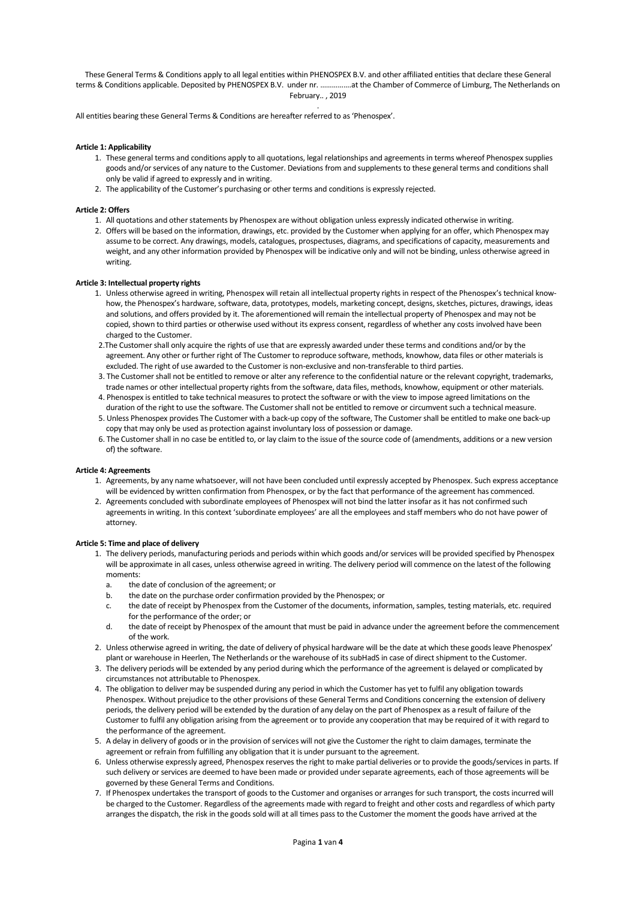These General Terms & Conditions apply to all legal entities within PHENOSPEX B.V. and other affiliated entities that declare these General terms & Conditions applicable. Deposited by PHENOSPEX B.V. under nr. …………….at the Chamber of Commerce of Limburg, The Netherlands on February.. , 2019 .

All entities bearing these General Terms & Conditions are hereafter referred to as 'Phenospex'.

### **Article 1: Applicability**

- 1. These general terms and conditions apply to all quotations, legal relationships and agreements in terms whereof Phenospex supplies goods and/or services of any nature to the Customer. Deviations from and supplements to these general terms and conditions shall only be valid if agreed to expressly and in writing.
- 2. The applicability of the Customer's purchasing or other terms and conditions is expressly rejected.

#### **Article 2: Offers**

- 1. All quotations and other statements by Phenospex are without obligation unless expressly indicated otherwise in writing.
- 2. Offers will be based on the information, drawings, etc. provided by the Customer when applying for an offer, which Phenospex may assume to be correct. Any drawings, models, catalogues, prospectuses, diagrams, and specifications of capacity, measurements and weight, and any other information provided by Phenospex will be indicative only and will not be binding, unless otherwise agreed in writing.

### **Article 3: Intellectual property rights**

- 1. Unless otherwise agreed in writing, Phenospex will retain all intellectual property rights in respect of the Phenospex's technical knowhow, the Phenospex's hardware, software, data, prototypes, models, marketing concept, designs, sketches, pictures, drawings, ideas and solutions, and offers provided by it. The aforementioned will remain the intellectual property of Phenospex and may not be copied, shown to third parties or otherwise used without its express consent, regardless of whether any costs involved have been charged to the Customer.
- 2.The Customer shall only acquire the rights of use that are expressly awarded under these terms and conditions and/or by the agreement. Any other or further right of The Customer to reproduce software, methods, knowhow, data files or other materials is excluded. The right of use awarded to the Customer is non-exclusive and non-transferable to third parties.
- 3. The Customer shall not be entitled to remove or alter any reference to the confidential nature or the relevant copyright, trademarks, trade names or other intellectual property rights from the software, data files, methods, knowhow, equipment or other materials.
- 4. Phenospex is entitled to take technical measures to protect the software or with the view to impose agreed limitations on the duration of the right to use the software. The Customer shall not be entitled to remove or circumvent such a technical measure.
- 5. Unless Phenospex provides The Customer with a back-up copy of the software, The Customer shall be entitled to make one back-up copy that may only be used as protection against involuntary loss of possession or damage.
- 6. The Customer shall in no case be entitled to, or lay claim to the issue of the source code of (amendments, additions or a new version of) the software.

#### **Article 4: Agreements**

- 1. Agreements, by any name whatsoever, will not have been concluded until expressly accepted by Phenospex. Such express acceptance will be evidenced by written confirmation from Phenospex, or by the fact that performance of the agreement has commenced.
- 2. Agreements concluded with subordinate employees of Phenospex will not bind the latter insofar as it has not confirmed such agreements in writing. In this context 'subordinate employees' are all the employees and staff members who do not have power of attorney.

#### **Article 5: Time and place of delivery**

- 1. The delivery periods, manufacturing periods and periods within which goods and/or services will be provided specified by Phenospex will be approximate in all cases, unless otherwise agreed in writing. The delivery period will commence on the latest of the following moments:
	- a. the date of conclusion of the agreement; or
	- b. the date on the purchase order confirmation provided by the Phenospex; or
	- c. the date of receipt by Phenospex from the Customer of the documents, information, samples, testing materials, etc. required for the performance of the order; or
	- d. the date of receipt by Phenospex of the amount that must be paid in advance under the agreement before the commencement of the work.
- 2. Unless otherwise agreed in writing, the date of delivery of physical hardware will be the date at which these goods leave Phenospex' plant or warehouse in Heerlen, The Netherlands or the warehouse of its subHadS in case of direct shipment to the Customer.
- 3. The delivery periods will be extended by any period during which the performance of the agreement is delayed or complicated by circumstances not attributable to Phenospex.
- 4. The obligation to deliver may be suspended during any period in which the Customer has yet to fulfil any obligation towards Phenospex. Without prejudice to the other provisions of these General Terms and Conditions concerning the extension of delivery periods, the delivery period will be extended by the duration of any delay on the part of Phenospex as a result of failure of the Customer to fulfil any obligation arising from the agreement or to provide any cooperation that may be required of it with regard to the performance of the agreement.
- 5. A delay in delivery of goods or in the provision of services will not give the Customer the right to claim damages, terminate the agreement or refrain from fulfilling any obligation that it is under pursuant to the agreement.
- 6. Unless otherwise expressly agreed, Phenospex reserves the right to make partial deliveries or to provide the goods/services in parts. If such delivery or services are deemed to have been made or provided under separate agreements, each of those agreements will be governed by these General Terms and Conditions.
- 7. If Phenospex undertakes the transport of goods to the Customer and organises or arranges for such transport, the costs incurred will be charged to the Customer. Regardless of the agreements made with regard to freight and other costs and regardless of which party arranges the dispatch, the risk in the goods sold will at all times pass to the Customer the moment the goods have arrived at the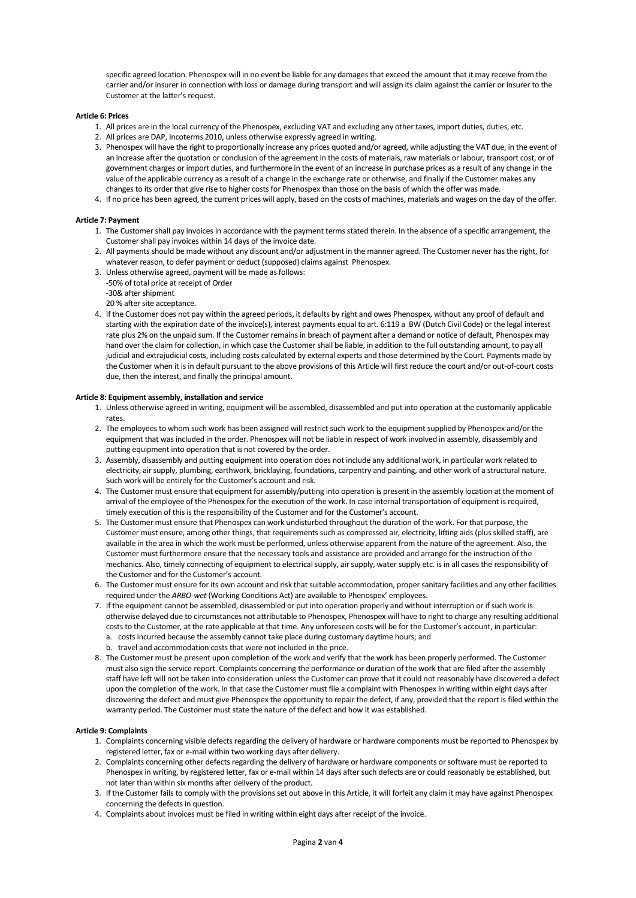specific agreed location. Phenospex will in no event be liable for any damages that exceed the amount that it may receive from the carrier and/or insurer in connection with loss or damage during transport and will assign its claim against the carrier or insurer to the Customer at the latter's request.

### **Article 6: Prices**

- 1. All prices are in the local currency of the Phenospex, excluding VAT and excluding any other taxes, import duties, duties, etc.
- 2. All prices are DAP, Incoterms 2010, unless otherwise expressly agreed in writing.
- 3. Phenospex will have the right to proportionally increase any prices quoted and/or agreed, while adjusting the VAT due, in the event of an increase after the quotation or conclusion of the agreement in the costs of materials, raw materials or labour, transport cost, or of government charges or import duties, and furthermore in the event of an increase in purchase prices as a result of any change in the value of the applicable currency as a result of a change in the exchange rate or otherwise, and finally if the Customer makes any changes to its order that give rise to higher costs for Phenospex than those on the basis of which the offer was made.
- 4. If no price has been agreed, the current prices will apply, based on the costs of machines, materials and wages on the day of the offer.

### **Article 7: Payment**

- 1. The Customer shall pay invoices in accordance with the payment terms stated therein. In the absence of a specific arrangement, the Customer shall pay invoices within 14 days of the invoice date.
- 2. All payments should be made without any discount and/or adjustment in the manner agreed. The Customer never has the right, for whatever reason, to defer payment or deduct (supposed) claims against Phenospex.
- 3. Unless otherwise agreed, payment will be made as follows:
- -50% of total price at receipt of Order -30& after shipment
- 20 % after site acceptance.
- 4. If the Customer does not pay within the agreed periods, it defaults by right and owes Phenospex, without any proof of default and starting with the expiration date of the invoice(s), interest payments equal to art. 6:119 a BW (Dutch Civil Code) or the legal interest rate plus 2% on the unpaid sum. If the Customer remains in breach of payment after a demand or notice of default, Phenospex may hand over the claim for collection, in which case the Customer shall be liable, in addition to the full outstanding amount, to pay all judicial and extrajudicial costs, including costs calculated by external experts and those determined by the Court. Payments made by the Customer when it is in default pursuant to the above provisions of this Article will first reduce the court and/or out-of-court costs due, then the interest, and finally the principal amount.

### **Article 8: Equipment assembly, installation and service**

- 1. Unless otherwise agreed in writing, equipment will be assembled, disassembled and put into operation at the customarily applicable rates.
- 2. The employees to whom such work has been assigned will restrict such work to the equipment supplied by Phenospex and/or the equipment that wasincluded in the order. Phenospex will not be liable in respect of work involved in assembly, disassembly and putting equipment into operation that is not covered by the order.
- 3. Assembly, disassembly and putting equipment into operation does not include any additional work, in particular work related to electricity, air supply, plumbing, earthwork, bricklaying, foundations, carpentry and painting, and other work of a structural nature. Such work will be entirely for the Customer's account and risk.
- 4. The Customer must ensure that equipment for assembly/putting into operation is present in the assembly location at the moment of arrival of the employee of the Phenospex for the execution of the work. In case internal transportation of equipment is required, timely execution of this is the responsibility of the Customer and for the Customer's account.
- 5. The Customer must ensure that Phenospex can work undisturbed throughout the duration of the work. For that purpose, the Customer must ensure, among other things, that requirements such as compressed air, electricity, lifting aids (plus skilled staff), are available in the area in which the work must be performed, unless otherwise apparent from the nature of the agreement. Also, the Customer must furthermore ensure that the necessary tools and assistance are provided and arrange for the instruction of the mechanics. Also, timely connecting of equipment to electrical supply, air supply, water supply etc. is in all cases the responsibility of the Customer and for the Customer's account.
- 6. The Customer must ensure for its own account and risk that suitable accommodation, proper sanitary facilities and any other facilities required under the *ARBO-wet* (Working Conditions Act) are available to Phenospex' employees.
- 7. If the equipment cannot be assembled, disassembled or put into operation properly and without interruption or if such work is otherwise delayed due to circumstances not attributable to Phenospex, Phenospex will have to right to charge any resulting additional costs to the Customer, at the rate applicable at that time. Any unforeseen costs will be for the Customer's account, in particular: a. costs incurred because the assembly cannot take place during customary daytime hours; and
	- b. travel and accommodation costs that were not included in the price.
- 8. The Customer must be present upon completion of the work and verify that the work has been properly performed. The Customer must also sign the service report. Complaints concerning the performance or duration of the work that are filed after the assembly staff have left will not be taken into consideration unless the Customer can prove that it could not reasonably have discovered a defect upon the completion of the work. In that case the Customer must file a complaint with Phenospex in writing within eight days after discovering the defect and must give Phenospex the opportunity to repair the defect, if any, provided that the report is filed within the warranty period. The Customer must state the nature of the defect and how it was established.

### **Article 9: Complaints**

- 1. Complaints concerning visible defects regarding the delivery of hardware or hardware components must be reported to Phenospex by registered letter, fax or e-mail within two working days after delivery.
- 2. Complaints concerning other defects regarding the delivery of hardware or hardware components or software must be reported to Phenospex in writing, by registered letter, fax or e-mail within 14 days after such defects are or could reasonably be established, but not later than within six months after delivery of the product.
- 3. If the Customer fails to comply with the provisions set out above in this Article, it will forfeit any claim it may have against Phenospex concerning the defects in question.
- 4. Complaints about invoices must be filed in writing within eight days after receipt of the invoice.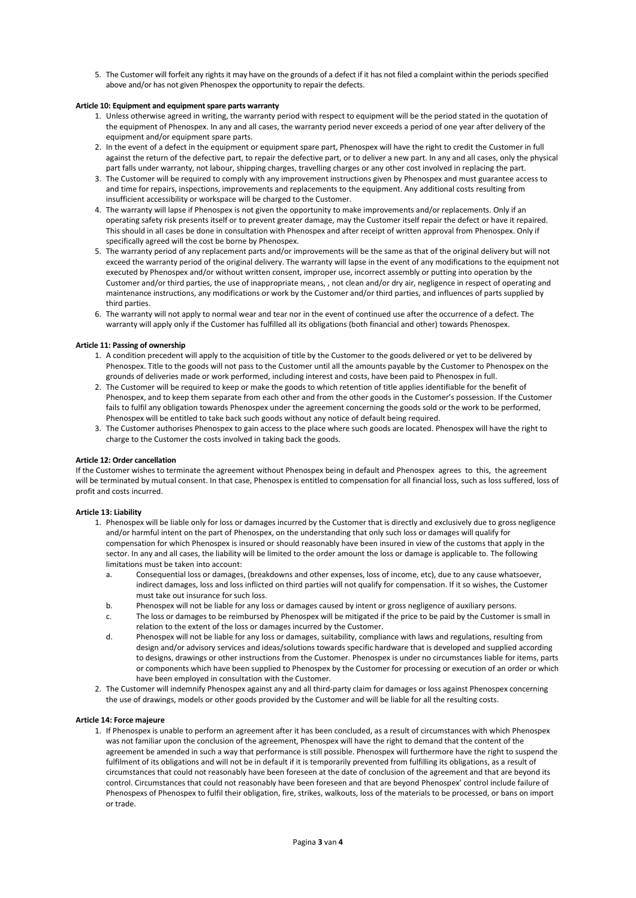5. The Customer will forfeit any rights it may have on the grounds of a defect if it has not filed a complaint within the periods specified above and/or has not given Phenospex the opportunity to repair the defects.

## **Article 10: Equipment and equipment spare parts warranty**

- 1. Unless otherwise agreed in writing, the warranty period with respect to equipment will be the period stated in the quotation of the equipment of Phenospex. In any and all cases, the warranty period never exceeds a period of one year after delivery of the equipment and/or equipment spare parts.
- 2. In the event of a defect in the equipment or equipment spare part, Phenospex will have the right to credit the Customer in full against the return of the defective part, to repair the defective part, or to deliver a new part. In any and all cases, only the physical part falls under warranty, not labour, shipping charges, travelling charges or any other cost involved in replacing the part.
- 3. The Customer will be required to comply with any improvement instructions given by Phenospex and must guarantee access to and time for repairs, inspections, improvements and replacements to the equipment. Any additional costs resulting from insufficient accessibility or workspace will be charged to the Customer.
- 4. The warranty will lapse if Phenospex is not given the opportunity to make improvements and/or replacements. Only if an operating safety risk presents itself or to prevent greater damage, may the Customer itself repair the defect or have it repaired. This should in all cases be done in consultation with Phenospex and after receipt of written approval from Phenospex. Only if specifically agreed will the cost be borne by Phenospex.
- 5. The warranty period of any replacement parts and/or improvements will be the same as that of the original delivery but will not exceed the warranty period of the original delivery. The warranty will lapse in the event of any modifications to the equipment not executed by Phenospex and/or without written consent, improper use, incorrect assembly or putting into operation by the Customer and/or third parties, the use of inappropriate means, , not clean and/or dry air, negligence in respect of operating and maintenance instructions, any modifications or work by the Customer and/or third parties, and influences of parts supplied by third narties.
- 6. The warranty will not apply to normal wear and tear nor in the event of continued use after the occurrence of a defect. The warranty will apply only if the Customer has fulfilled all its obligations (both financial and other) towards Phenospex.

# **Article 11: Passing of ownership**

- 1. A condition precedent will apply to the acquisition of title by the Customer to the goods delivered or yet to be delivered by Phenospex. Title to the goods will not pass to the Customer until all the amounts payable by the Customer to Phenospex on the grounds of deliveries made or work performed, including interest and costs, have been paid to Phenospex in full.
- 2. The Customer will be required to keep or make the goods to which retention of title applies identifiable for the benefit of Phenospex, and to keep them separate from each other and from the other goods in the Customer's possession. If the Customer fails to fulfil any obligation towards Phenospex under the agreement concerning the goods sold or the work to be performed, Phenospex will be entitled to take back such goods without any notice of default being required.
- 3. The Customer authorises Phenospex to gain access to the place where such goods are located. Phenospex will have the right to charge to the Customer the costs involved in taking back the goods.

## **Article 12: Order cancellation**

If the Customer wishes to terminate the agreement without Phenospex being in default and Phenospex agrees to this, the agreement will be terminated by mutual consent. In that case, Phenospex is entitled to compensation for all financial loss, such as loss suffered, loss of profit and costs incurred.

## **Article 13: Liability**

- 1. Phenospex will be liable only for loss or damages incurred by the Customer that is directly and exclusively due to gross negligence and/or harmful intent on the part of Phenospex, on the understanding that only such loss or damages will qualify for compensation for which Phenospex is insured or should reasonably have been insured in view of the customs that apply in the sector. In any and all cases, the liability will be limited to the order amount the loss or damage is applicable to. The following limitations must be taken into account:
	- a. Consequential loss or damages, (breakdowns and other expenses, loss of income, etc), due to any cause whatsoever, indirect damages, loss and loss inflicted on third parties will not qualify for compensation. If it so wishes, the Customer must take out insurance for such loss.
	- b. Phenospex will not be liable for any loss or damages caused by intent or gross negligence of auxiliary persons.
	- c. The loss or damages to be reimbursed by Phenospex will be mitigated if the price to be paid by the Customer is small in relation to the extent of the loss or damages incurred by the Customer.
	- d. Phenospex will not be liable for any loss or damages, suitability, compliance with laws and regulations, resulting from design and/or advisory services and ideas/solutions towards specific hardware that is developed and supplied according to designs, drawings or other instructions from the Customer. Phenospex is under no circumstances liable for items, parts or components which have been supplied to Phenospex by the Customer for processing or execution of an order or which have been employed in consultation with the Customer.
- 2. The Customer will indemnify Phenospex against any and all third-party claim for damages or loss against Phenospex concerning the use of drawings, models or other goods provided by the Customer and will be liable for all the resulting costs.

## **Article 14: Force majeure**

1. If Phenospex is unable to perform an agreement after it has been concluded, as a result of circumstances with which Phenospex was not familiar upon the conclusion of the agreement, Phenospex will have the right to demand that the content of the agreement be amended in such a way that performance is still possible. Phenospex will furthermore have the right to suspend the fulfilment of its obligations and will not be in default if it is temporarily prevented from fulfilling its obligations, as a result of circumstances that could not reasonably have been foreseen at the date of conclusion of the agreement and that are beyond its control. Circumstances that could not reasonably have been foreseen and that are beyond Phenospex' control include failure of Phenospexs of Phenospex to fulfil their obligation, fire, strikes, walkouts, loss of the materials to be processed, or bans on import or trade.